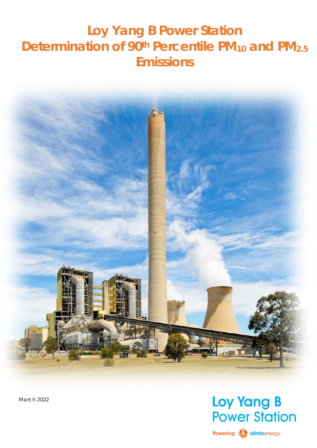# <span id="page-0-0"></span>**Loy Yang B Power Station Determination of 90<sup>th</sup> Percentile PM<sub>10</sub> and PM<sub>2.5</sub> Emissions**



March 2022

# **Loy Yang B Power Station**

Powering **A** alintaenergy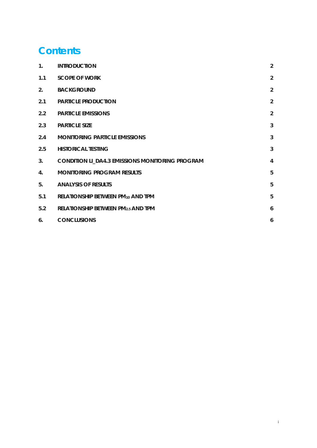# **Content[s](#page-0-0)**

| $\mathbf{1}$ . | <b>INTRODUCTION</b>                                    | $\overline{2}$ |
|----------------|--------------------------------------------------------|----------------|
| 1.1            | <b>SCOPE OF WORK</b>                                   | $\overline{2}$ |
| 2.             | <b>BACKGROUND</b>                                      | 2              |
| 2.1            | <b>PARTICLE PRODUCTION</b>                             | $\overline{2}$ |
| 2.2            | <b>PARTICLE EMISSIONS</b>                              | $\overline{2}$ |
| 2.3            | <b>PARTICLE SIZE</b>                                   | $\overline{3}$ |
| 2.4            | <b>MONITORING PARTICLE EMISSIONS</b>                   | $\overline{3}$ |
| 2.5            | <b>HISTORICAL TESTING</b>                              | $\overline{3}$ |
| 3.             | <b>CONDITION LI_DA4.3 EMISSIONS MONITORING PROGRAM</b> | $\overline{4}$ |
| 4.             | <b>MONITORING PROGRAM RESULTS</b>                      | 5              |
| 5.             | <b>ANALYSIS OF RESULTS</b>                             | 5              |
| 5.1            | RELATIONSHIP BETWEEN PM10 AND TPM                      | 5              |
| 5.2            | RELATIONSHIP BETWEEN PM2.5 AND TPM                     | 6              |
| 6 <sub>1</sub> | <b>CONCLUSIONS</b>                                     | 6              |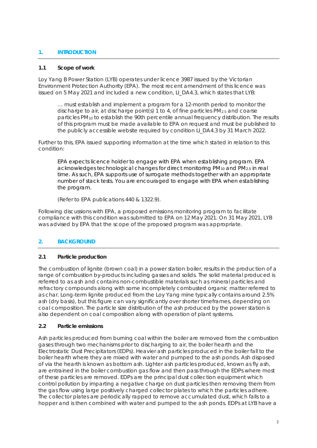### <span id="page-2-0"></span>**1. INTRODUCTION**

#### <span id="page-2-1"></span>**1.1 Scope of work**

Loy Yang B Power Station (LYB) operates under licence 3987 issued by the Victorian Environment Protection Authority (EPA). The most recent amendment of this licence was issued on 5 May 2021 and included a new condition, LI\_DA4.3, which states that LYB:

… *must establish and implement a program for a 12-month period to monitor the discharge to air, at discharge point(s) 1 to 4, of fine particles PM2.5 and coarse particles PM10 to establish the 90th percentile annual frequency distribution. The results of this program must be made available to EPA on request and must be published to the publicly accessible website required by condition LI\_DA4.3 by 31 March 2022.*

Further to this, EPA issued supporting information at the time which stated in relation to this condition:

*EPA expects licence holder to engage with EPA when establishing program. EPA acknowledges technological changes for direct monitoring PM10 and PM2.5 in real time. As such, EPA supports use of surrogate methods together with an appropriate number of stack tests. You are encouraged to engage with EPA when establishing the program.*

*(Refer to EPA publications 440 & 1322.9).*

Following discussions with EPA, a proposed emissions monitoring program to facilitate compliance with this condition was submitted to EPA on 12 May 2021. On 31 May 2021, LYB was advised by EPA that the scope of the proposed program was appropriate.

# <span id="page-2-2"></span>**2. BACKGROUND**

### <span id="page-2-3"></span>**2.1 Particle production**

The combustion of lignite (brown coal) in a power station boiler, results in the production of a range of combustion by-products including gasses and solids. The solid material produced is referred to as ash and contains non-combustible materials such as mineral particles and refractory compounds along with some incompletely combusted organic matter referred to as char. Long-term lignite produced from the Loy Yang mine typically contains around 2.5% ash (dry basis), but this figure can vary significantly over shorter timeframes, depending on coal composition. The particle size distribution of the ash produced by the power station is also dependent on coal composition along with operation of plant systems.

#### <span id="page-2-4"></span>**2.2 Particle emissions**

Ash particles produced from burning coal within the boiler are removed from the combustion gases through two mechanisms prior to discharging to air, the boiler hearth and the Electrostatic Dust Precipitators (EDPs). Heavier ash particles produced in the boiler fall to the boiler hearth where they are mixed with water and pumped to the ash ponds. Ash disposed of via the hearth is known as bottom ash. Lighter ash particles produced, known as fly ash, are entrained in the boiler combustion gas flow and then pass through the EDPs where most of these particles are removed. EDPs are the principal dust collection equipment which control pollution by imparting a negative charge on dust particles then removing them from the gas flow using large positively charged collector plates to which the particles adhere. The collector plates are periodically rapped to remove accumulated dust, which falls to a hopper and is then combined with water and pumped to the ash ponds. EDPs at LYB have a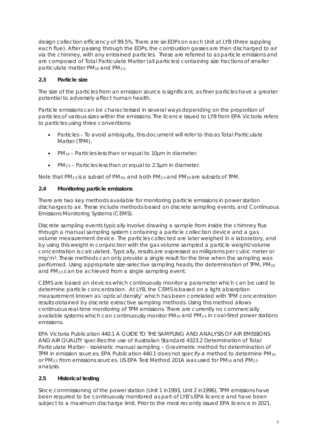design collection efficiency of 99.5%. There are six EDPs on each Unit at LYB (three suppling each flue). After passing through the EDPs, the combustion gasses are then discharged to air via the chimney, with any entrained particles. These are referred to as particle emissions and are composed of Total Particulate Matter (all particles) containing size fractions of smaller particulate matter PM<sub>10</sub> and PM<sub>2.5</sub>.

### <span id="page-3-0"></span>**2.3 Particle size**

The size of the particles from an emission source is significant, as finer particles have a greater potential to adversely affect human health.

Particle emissions can be characterised in several ways depending on the proportion of particles of various sizes within the emissions. The licence issued to LYB from EPA Victoria refers to particles using three conventions:

- Particles To avoid ambiguity, this document will refer to this as Total Particulate Matter (TPM).
- PM10 Particles less than or equal to 10µm in diameter.
- PM2.5 Particles less than or equal to 2.5µm in diameter.

Note that  $PM_{2.5}$  is a subset of  $PM_{10}$ , and both  $PM_{2.5}$  and  $PM_{10}$  are subsets of TPM.

### <span id="page-3-1"></span>**2.4 Monitoring particle emissions**

There are two key methods available for monitoring particle emissions in power station discharges to air. These include methods based on discrete sampling events, and Continuous Emissions Monitoring Systems (CEMS).

Discrete sampling events typically involve drawing a sample from inside the chimney flue through a manual sampling system containing a particle collection device and a gas volume measurement device. The particles collected are later weighed in a laboratory, and by using this weight in conjunction with the gas volume sampled a particle weight/volume concentration is calculated. Typically, results are expressed as milligrams per cubic meter or mg/m3. These methods can only provide a single result for the time when the sampling was performed. Using appropriate size-selective sampling heads, the determination of TPM, PM10 and PM2.5 can be achieved from a single sampling event.

CEMS are based on devices which continuously monitor a parameter which can be used to determine particle concentration. At LYB, the CEMS is based on a light absorption measurement known as 'optical density' which has been correlated with TPM concentration results obtained by discrete extractive sampling methods. Using this method allows continuous real-time monitoring of TPM emissions. There are currently no commercially available systems which can continuously monitor PM10 and PM2.5 in coal-fired power stations emissions.

EPA Victoria *Publication 440.1 A GUIDE TO THE SAMPLING AND ANALYSIS OF AIR EMISSIONS AND AIR QUALITY* specifies the use of *Australian Standard 4323.2 Determination of Total Particulate Matter – Isokinetic manual sampling – Gravimetric method* for determination of TPM in emission sources*.* EPA Publication 440.1 does not specify a method to determine PM10 or PM<sub>2.5</sub> from emissions sources. US EPA Test Method 201A was used for PM<sub>10</sub> and PM<sub>2.5</sub> analysis.

### <span id="page-3-2"></span>**2.5 Historical testing**

Since commissioning of the power station (Unit 1 in1993, Unit 2 in1996), TPM emissions have been required to be continuously monitored as part of LYB's EPA licence and have been subject to a maximum discharge limit. Prior to the most recently issued EPA licence in 2021,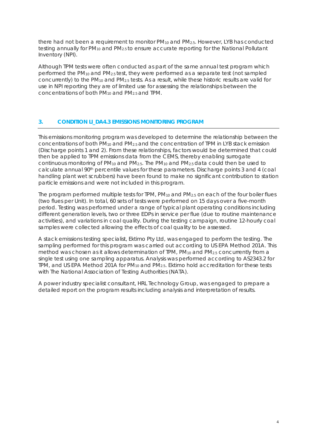there had not been a requirement to monitor  $PM_{10}$  and  $PM_{2.5}$ . However, LYB has conducted testing annually for PM<sub>10</sub> and PM<sub>2.5</sub> to ensure accurate reporting for the National Pollutant Inventory (NPI).

Although TPM tests were often conducted as part of the same annual test program which performed the  $PM_{10}$  and  $PM_{2.5}$  test, they were performed as a separate test (not sampled concurrently) to the PM10 and PM2.5 tests. As a result, while these historic results are valid for use in NPI reporting they are of limited use for assessing the relationships between the concentrations of both PM10 and PM2.5 and TPM.

### <span id="page-4-0"></span>**3. CONDITION LI\_DA4.3 EMISSIONS MONITORING PROGRAM**

This emissions monitoring program was developed to determine the relationship between the concentrations of both PM10 and PM2.5 and the concentration of TPM in LYB stack emission (Discharge points 1 and 2). From these relationships, factors would be determined that could then be applied to TPM emissions data from the CEMS, thereby enabling surrogate continuous monitoring of PM10 and PM2.5. The PM10 and PM2.5 data could then be used to calculate annual 90th percentile values for these parameters. Discharge points 3 and 4 (coal handling plant wet scrubbers) have been found to make no significant contribution to station particle emissions and were not included in this program.

The program performed multiple tests for TPM, PM<sub>10</sub> and PM<sub>2.5</sub> on each of the four boiler flues (two flues per Unit). In total, 60 sets of tests were performed on 15 days over a five-month period. Testing was performed under a range of typical plant operating conditions including different generation levels, two or three EDPs in service per flue (due to routine maintenance activities), and variations in coal quality. During the testing campaign, routine 12-hourly coal samples were collected allowing the effects of coal quality to be assessed.

A stack emissions testing specialist, Ektimo Pty Ltd, was engaged to perform the testing. The sampling performed for this program was carried out according to US EPA Method 201A. This method was chosen as it allows determination of TPM,  $PM_{10}$  and  $PM_{2.5}$  concurrently from a single test using one sampling apparatus. Analysis was performed according to AS2343.2 for TPM, and US EPA Method 201A for  $PM_{10}$  and  $PM_{2.5}$ . Ektimo hold accreditation for these tests with The National Association of Testing Authorities (NATA).

A power industry specialist consultant, HRL Technology Group, was engaged to prepare a detailed report on the program results including analysis and interpretation of results.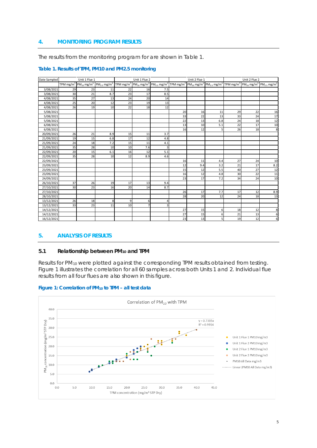### <span id="page-5-0"></span>**4. MONITORING PROGRAM RESULTS**

The results from the monitoring program for are shown in Table 1.

| Date Sampled | Unit 1 Flue 1 |                                                                                |     | Unit 1 Flue 2 |                |                                                                                                                                                                                                               | Unit 2 Flue 1 |     |     | Unit 2 Flue 2 |    |     |
|--------------|---------------|--------------------------------------------------------------------------------|-----|---------------|----------------|---------------------------------------------------------------------------------------------------------------------------------------------------------------------------------------------------------------|---------------|-----|-----|---------------|----|-----|
|              |               | TPM mg/m <sup>3</sup> $PM_{10}$ mg/m <sup>3</sup> $PM_{2.5}$ mg/m <sup>3</sup> |     |               |                | TPM mg/m <sup>3</sup> $\left PM_{10} mg/m^3 \right  PM_{2.5} mg/m^3$ TPM mg/m <sup>3</sup> $\left PM_{10} mg/m^3 \right  PM_{2.5} mg/m^3$ TPM mg/m <sup>3</sup> $\left PM_{10} mg/m^3 \right  PM_{10} mg/m^3$ |               |     |     |               |    |     |
| 3/08/2021    | 29            | 23                                                                             | 11  | 22            | 16             | 7.5                                                                                                                                                                                                           |               |     |     |               |    |     |
| 3/08/2021    | 30            | 21                                                                             | 8.7 | 23            | 17             | 8.5                                                                                                                                                                                                           |               |     |     |               |    |     |
| 4/08/2021    | 35            | 27                                                                             | 13  | 24            | 20             | 14                                                                                                                                                                                                            |               |     |     |               |    |     |
| 4/08/2021    | 25            | 20                                                                             | 12  | 23            | 19             | 13                                                                                                                                                                                                            |               |     |     |               |    |     |
| 4/08/2021    | 26            | 19                                                                             | 10  | 22            | 18             | 12                                                                                                                                                                                                            |               |     |     |               |    |     |
| 5/08/2021    |               |                                                                                |     |               |                |                                                                                                                                                                                                               | 20            | 16  | 11  | 29            | 22 | 16  |
| 5/08/2021    |               |                                                                                |     |               |                |                                                                                                                                                                                                               | 33            | 22  | 13  | 33            | 24 | 17  |
| 5/08/2021    |               |                                                                                |     |               |                |                                                                                                                                                                                                               | 22            | 13  | 6.8 | 24            | 18 | 12  |
| 6/08/2021    |               |                                                                                |     |               |                |                                                                                                                                                                                                               | 13            | 10  | 5.1 | 22            | 17 | 10  |
| 6/08/2021    |               |                                                                                |     |               |                |                                                                                                                                                                                                               | 16            | 12  | 5   | 26            | 18 | 8   |
| 20/09/2021   | 26            | 21                                                                             | 8.9 | 15            | 11             | 3.7                                                                                                                                                                                                           |               |     |     |               |    |     |
| 21/09/2021   | 19            | 15                                                                             | 6.8 | 17            | 12             | 4.8                                                                                                                                                                                                           |               |     |     |               |    |     |
| 21/09/2021   | 24            | 18                                                                             | 7.2 | 15            | 11             | 4.1                                                                                                                                                                                                           |               |     |     |               |    |     |
| 21/09/2021   | 35            | 28                                                                             | 10  | 10            | 7.6            | 3                                                                                                                                                                                                             |               |     |     |               |    |     |
| 22/09/2021   | 20            | 15                                                                             | 6.1 | 16            | 12             | 5.1                                                                                                                                                                                                           |               |     |     |               |    |     |
| 22/09/2021   | 35            | 28                                                                             | 10  | 12            | 8.9            | 4.6                                                                                                                                                                                                           |               |     |     |               |    |     |
| 22/09/2021   |               |                                                                                |     |               |                |                                                                                                                                                                                                               | 16            | 11  | 4.4 | 27            | 24 | 10  |
| 23/09/2021   |               |                                                                                |     |               |                |                                                                                                                                                                                                               | 12            | 9.4 | 3.2 | 21            | 17 | 8.2 |
| 23/09/2021   |               |                                                                                |     |               |                |                                                                                                                                                                                                               | 15            | 12  | 5.5 | 40            | 27 | 12  |
| 23/09/2021   |               |                                                                                |     |               |                |                                                                                                                                                                                                               | 16            | 12  | 4.8 | 30            | 22 | 11  |
| 24/09/2021   |               |                                                                                |     |               |                |                                                                                                                                                                                                               | 23            | 17  | 7.2 | 34            | 24 | 10  |
| 26/10/2021   | 37            | 26                                                                             | 19  | 17            | 13             | 9.4                                                                                                                                                                                                           |               |     |     |               |    |     |
| 27/10/2021   | 30            | 23                                                                             | 16  | 20            | 14             | 8.7                                                                                                                                                                                                           |               |     |     |               |    |     |
| 27/10/2021   |               |                                                                                |     |               |                |                                                                                                                                                                                                               | 26            | 17  | 7.7 | 17            | 12 | 8.9 |
| 28/10/2021   |               |                                                                                |     |               |                |                                                                                                                                                                                                               | 28            | 20  | 12  | 24            | 18 | 13  |
| 13/12/2021   | 26            | 18                                                                             | 8   | 9             | $6 \mid$       | $\overline{4}$                                                                                                                                                                                                |               |     |     |               |    |     |
| 13/12/2021   | 33            | 23                                                                             | 11  | 10            | $\overline{7}$ | 3                                                                                                                                                                                                             |               |     |     |               |    |     |
| 14/12/2021   |               |                                                                                |     |               |                |                                                                                                                                                                                                               | 27            | 15  | 6   | 18            | 12 | 8   |
| 14/12/2021   |               |                                                                                |     |               |                |                                                                                                                                                                                                               | 27            | 15  | 6   | 21            | 13 | 6   |
| 16/12/2021   |               |                                                                                |     |               |                |                                                                                                                                                                                                               | 23            | 13  | 5   | 19            | 12 | 6   |

#### **Table 1. Results of TPM, PM10 and PM2.5 monitoring**

#### <span id="page-5-1"></span>**5. ANALYSIS OF RESULTS**

#### <span id="page-5-2"></span>**5.1 Relationship between PM10 and TPM**

Results for PM10 were plotted against the corresponding TPM results obtained from testing. Figure 1 illustrates the correlation for all 60 samples across both Units 1 and 2. Individual flue results from all four flues are also shown in this figure.



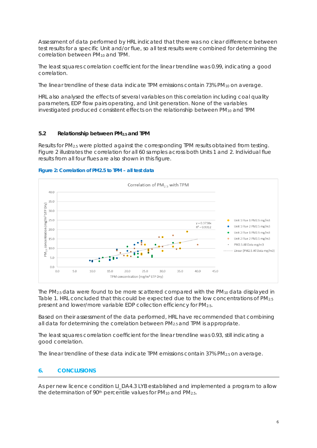Assessment of data performed by HRL indicated that there was no clear difference between test results for a specific Unit and/or flue, so all test results were combined for determining the correlation between PM<sub>10</sub> and TPM.

The least squares correlation coefficient for the linear trendline was 0.99, indicating a good correlation.

The linear trendline of these data indicate TPM emissions contain 73% PM<sub>10</sub> on average.

HRL also analysed the effects of several variables on this correlation including coal quality parameters, EDP flow pairs operating, and Unit generation. None of the variables investigated produced consistent effects on the relationship between PM10 and TPM

### <span id="page-6-0"></span>**5.2 Relationship between PM2.5 and TPM**

Results for PM2.5 were plotted against the corresponding TPM results obtained from testing. Figure 2 illustrates the correlation for all 60 samples across both Units 1 and 2. Individual flue results from all four flues are also shown in this figure.





The  $PM_{2.5}$  data were found to be more scattered compared with the  $PM_{10}$  data displayed in Table 1. HRL concluded that this could be expected due to the low concentrations of PM2.5 present and lower/more variable EDP collection efficiency for PM2.5.

Based on their assessment of the data performed, HRL have recommended that combining all data for determining the correlation between PM2.5 and TPM is appropriate.

The least squares correlation coefficient for the linear trendline was 0.93, still indicating a good correlation.

<span id="page-6-1"></span>The linear trendline of these data indicate TPM emissions contain 37% PM2.5 on average.

# **6. CONCLUSIONS**

As per new licence condition LI\_DA4.3 LYB established and implemented a program to allow the determination of 90<sup>th</sup> percentile values for  $PM_{10}$  and  $PM_{2.5}$ .